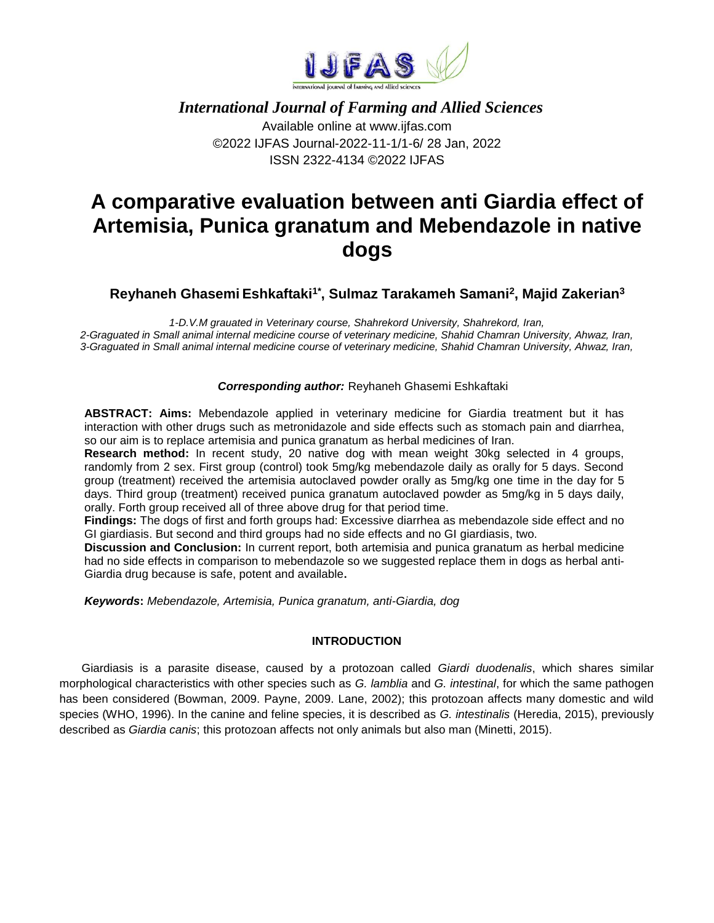

## *International Journal of Farming and Allied Sciences*

Available online at www.ijfas.com ©2022 IJFAS Journal-2022-11-1/1-6/ 28 Jan, 2022 ISSN 2322-4134 ©2022 IJFAS

# **A comparative evaluation between anti Giardia effect of Artemisia, Punica granatum and Mebendazole in native dogs**

**Reyhaneh Ghasemi Eshkaftaki1\* , Sulmaz Tarakameh Samani<sup>2</sup> , Majid Zakerian<sup>3</sup>**

*1-D.V.M grauated in Veterinary course, Shahrekord University, Shahrekord, Iran, 2-Graguated in Small animal internal medicine course of veterinary medicine, Shahid Chamran University, Ahwaz, Iran, 3-Graguated in Small animal internal medicine course of veterinary medicine, Shahid Chamran University, Ahwaz, Iran,* 

## *Corresponding author:* Reyhaneh Ghasemi Eshkaftaki

**ABSTRACT: Aims:** Mebendazole applied in veterinary medicine for Giardia treatment but it has interaction with other drugs such as metronidazole and side effects such as stomach pain and diarrhea, so our aim is to replace artemisia and punica granatum as herbal medicines of Iran.

**Research method:** In recent study, 20 native dog with mean weight 30kg selected in 4 groups, randomly from 2 sex. First group (control) took 5mg/kg mebendazole daily as orally for 5 days. Second group (treatment) received the artemisia autoclaved powder orally as 5mg/kg one time in the day for 5 days. Third group (treatment) received punica granatum autoclaved powder as 5mg/kg in 5 days daily, orally. Forth group received all of three above drug for that period time.

**Findings:** The dogs of first and forth groups had: Excessive diarrhea as mebendazole side effect and no GI giardiasis. But second and third groups had no side effects and no GI giardiasis, two.

**Discussion and Conclusion:** In current report, both artemisia and punica granatum as herbal medicine had no side effects in comparison to mebendazole so we suggested replace them in dogs as herbal anti-Giardia drug because is safe, potent and available**.**

*Keywords***:** *Mebendazole, Artemisia, Punica granatum, anti-Giardia, dog*

## **INTRODUCTION**

Giardiasis is a parasite disease, caused by a protozoan called *Giardi duodenalis*, which shares similar morphological characteristics with other species such as *G. lamblia* and *G. intestinal*, for which the same pathogen has been considered (Bowman, 2009. Payne, 2009. Lane, 2002); this protozoan affects many domestic and wild species (WHO, 1996). In the canine and feline species, it is described as *G. intestinalis* (Heredia, 2015), previously described as *Giardia canis*; this protozoan affects not only animals but also man (Minetti, 2015).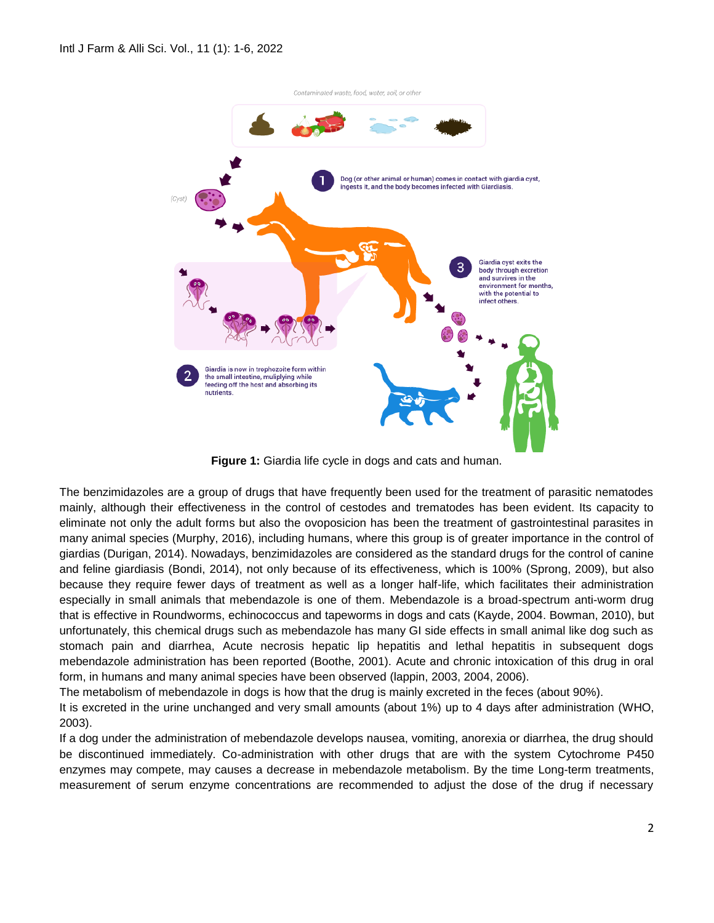

**Figure 1:** Giardia life cycle in dogs and cats and human.

The benzimidazoles are a group of drugs that have frequently been used for the treatment of parasitic nematodes mainly, although their effectiveness in the control of cestodes and trematodes has been evident. Its capacity to eliminate not only the adult forms but also the ovoposicion has been the treatment of gastrointestinal parasites in many animal species (Murphy, 2016), including humans, where this group is of greater importance in the control of giardias (Durigan, 2014). Nowadays, benzimidazoles are considered as the standard drugs for the control of canine and feline giardiasis (Bondi, 2014), not only because of its effectiveness, which is 100% (Sprong, 2009), but also because they require fewer days of treatment as well as a longer half-life, which facilitates their administration especially in small animals that mebendazole is one of them. Mebendazole is a broad-spectrum anti-worm drug that is effective in Roundworms, echinococcus and tapeworms in dogs and cats (Kayde, 2004. Bowman, 2010), but unfortunately, this chemical drugs such as mebendazole has many GI side effects in small animal like dog such as stomach pain and diarrhea, Acute necrosis hepatic lip hepatitis and lethal hepatitis in subsequent dogs mebendazole administration has been reported (Boothe, 2001). Acute and chronic intoxication of this drug in oral form, in humans and many animal species have been observed (lappin, 2003, 2004, 2006).

The metabolism of mebendazole in dogs is how that the drug is mainly excreted in the feces (about 90%).

It is excreted in the urine unchanged and very small amounts (about 1%) up to 4 days after administration (WHO, 2003).

If a dog under the administration of mebendazole develops nausea, vomiting, anorexia or diarrhea, the drug should be discontinued immediately. Co-administration with other drugs that are with the system Cytochrome P450 enzymes may compete, may causes a decrease in mebendazole metabolism. By the time Long-term treatments, measurement of serum enzyme concentrations are recommended to adjust the dose of the drug if necessary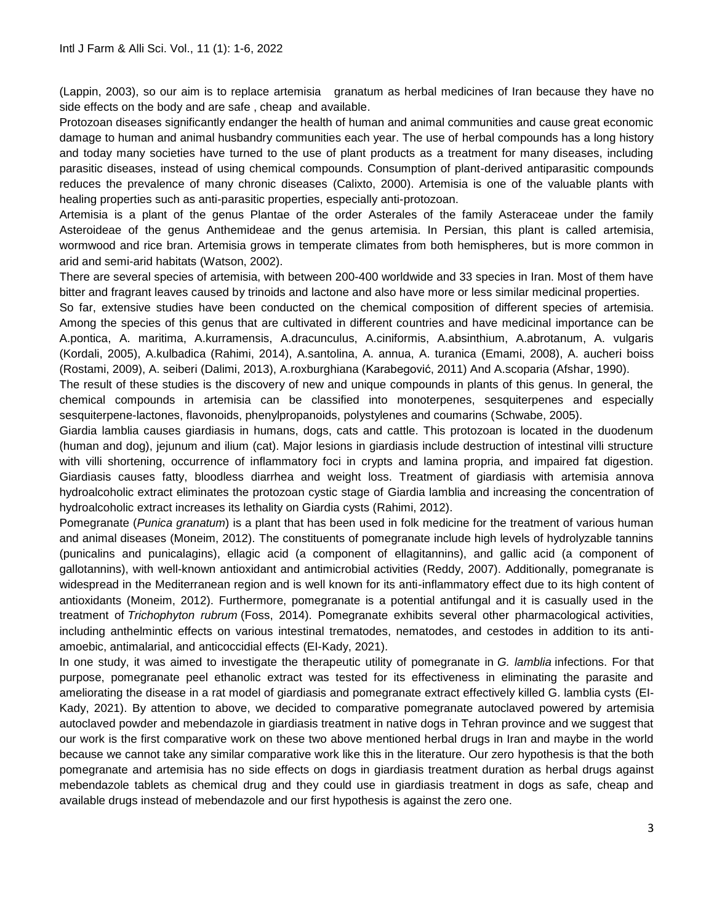(Lappin, 2003), so our aim is to replace artemisia granatum as herbal medicines of Iran because they have no side effects on the body and are safe , cheap and available.

Protozoan diseases significantly endanger the health of human and animal communities and cause great economic damage to human and animal husbandry communities each year. The use of herbal compounds has a long history and today many societies have turned to the use of plant products as a treatment for many diseases, including parasitic diseases, instead of using chemical compounds. Consumption of plant-derived antiparasitic compounds reduces the prevalence of many chronic diseases (Calixto, 2000). Artemisia is one of the valuable plants with healing properties such as anti-parasitic properties, especially anti-protozoan.

Artemisia is a plant of the genus Plantae of the order Asterales of the family Asteraceae under the family Asteroideae of the genus Anthemideae and the genus artemisia. In Persian, this plant is called artemisia, wormwood and rice bran. Artemisia grows in temperate climates from both hemispheres, but is more common in arid and semi-arid habitats (Watson, 2002).

There are several species of artemisia, with between 200-400 worldwide and 33 species in Iran. Most of them have bitter and fragrant leaves caused by trinoids and lactone and also have more or less similar medicinal properties.

So far, extensive studies have been conducted on the chemical composition of different species of artemisia. Among the species of this genus that are cultivated in different countries and have medicinal importance can be A.pontica, A. maritima, A.kurramensis, A.dracunculus, A.ciniformis, A.absinthium, A.abrotanum, A. vulgaris (Kordali, 2005), A.kulbadica (Rahimi, 2014), A.santolina, A. annua, A. turanica (Emami, 2008), A. aucheri boiss (Rostami, 2009), A. seiberi (Dalimi, 2013), A.roxburghiana (Karabegović, 2011) And A.scoparia (Afshar, 1990).

The result of these studies is the discovery of new and unique compounds in plants of this genus. In general, the chemical compounds in artemisia can be classified into monoterpenes, sesquiterpenes and especially sesquiterpene-lactones, flavonoids, phenylpropanoids, polystylenes and coumarins (Schwabe, 2005).

Giardia lamblia causes giardiasis in humans, dogs, cats and cattle. This protozoan is located in the duodenum (human and dog), jejunum and ilium (cat). Major lesions in giardiasis include destruction of intestinal villi structure with villi shortening, occurrence of inflammatory foci in crypts and lamina propria, and impaired fat digestion. Giardiasis causes fatty, bloodless diarrhea and weight loss. Treatment of giardiasis with artemisia annova hydroalcoholic extract eliminates the protozoan cystic stage of Giardia lamblia and increasing the concentration of hydroalcoholic extract increases its lethality on Giardia cysts (Rahimi, 2012).

Pomegranate (*Punica granatum*) is a plant that has been used in folk medicine for the treatment of various human and animal diseases (Moneim, 2012). The constituents of pomegranate include high levels of hydrolyzable tannins (punicalins and punicalagins), ellagic acid (a component of ellagitannins), and gallic acid (a component of gallotannins), with well-known antioxidant and antimicrobial activities (Reddy, 2007). Additionally, pomegranate is widespread in the Mediterranean region and is well known for its anti-inflammatory effect due to its high content of antioxidants (Moneim, 2012). Furthermore, pomegranate is a potential antifungal and it is casually used in the treatment of *Trichophyton rubrum* (Foss, 2014). Pomegranate exhibits several other pharmacological activities, including anthelmintic effects on various intestinal trematodes, nematodes, and cestodes in addition to its antiamoebic, antimalarial, and anticoccidial effects (EI-Kady, 2021).

In one study, it was aimed to investigate the therapeutic utility of pomegranate in *G. lamblia* infections. For that purpose, pomegranate peel ethanolic extract was tested for its effectiveness in eliminating the parasite and ameliorating the disease in a rat model of giardiasis and pomegranate extract effectively killed G. lamblia cysts (EI-Kady, 2021). By attention to above, we decided to comparative pomegranate autoclaved powered by artemisia autoclaved powder and mebendazole in giardiasis treatment in native dogs in Tehran province and we suggest that our work is the first comparative work on these two above mentioned herbal drugs in Iran and maybe in the world because we cannot take any similar comparative work like this in the literature. Our zero hypothesis is that the both pomegranate and artemisia has no side effects on dogs in giardiasis treatment duration as herbal drugs against mebendazole tablets as chemical drug and they could use in giardiasis treatment in dogs as safe, cheap and available drugs instead of mebendazole and our first hypothesis is against the zero one.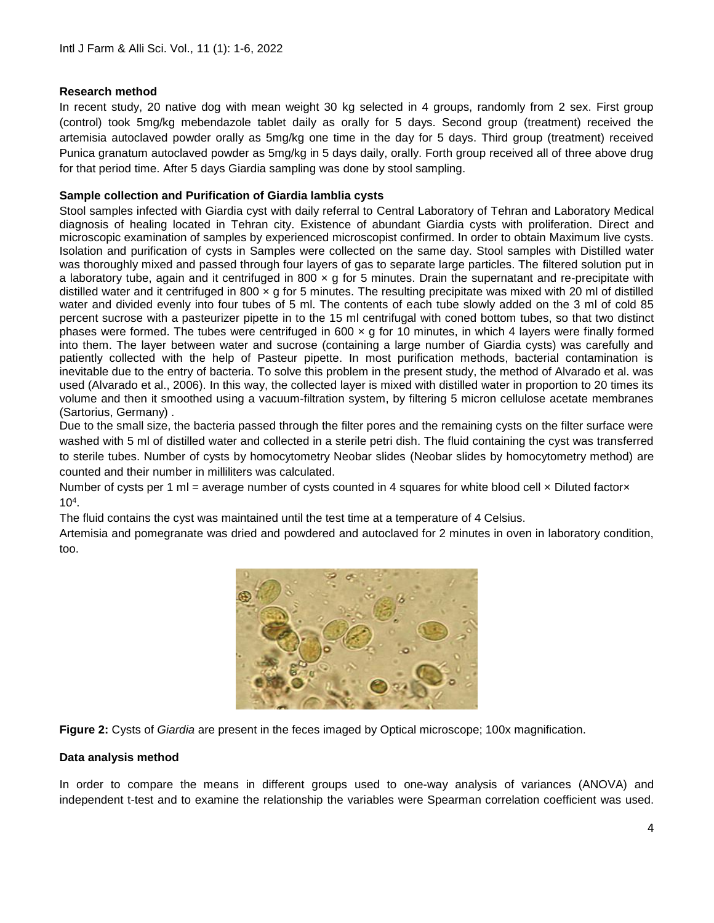## **Research method**

In recent study, 20 native dog with mean weight 30 kg selected in 4 groups, randomly from 2 sex. First group (control) took 5mg/kg mebendazole tablet daily as orally for 5 days. Second group (treatment) received the artemisia autoclaved powder orally as 5mg/kg one time in the day for 5 days. Third group (treatment) received Punica granatum autoclaved powder as 5mg/kg in 5 days daily, orally. Forth group received all of three above drug for that period time. After 5 days Giardia sampling was done by stool sampling.

## **Sample collection and Purification of Giardia lamblia cysts**

Stool samples infected with Giardia cyst with daily referral to Central Laboratory of Tehran and Laboratory Medical diagnosis of healing located in Tehran city. Existence of abundant Giardia cysts with proliferation. Direct and microscopic examination of samples by experienced microscopist confirmed. In order to obtain Maximum live cysts. Isolation and purification of cysts in Samples were collected on the same day. Stool samples with Distilled water was thoroughly mixed and passed through four layers of gas to separate large particles. The filtered solution put in a laboratory tube, again and it centrifuged in 800  $\times$  g for 5 minutes. Drain the supernatant and re-precipitate with distilled water and it centrifuged in 800  $\times$  g for 5 minutes. The resulting precipitate was mixed with 20 ml of distilled water and divided evenly into four tubes of 5 ml. The contents of each tube slowly added on the 3 ml of cold 85 percent sucrose with a pasteurizer pipette in to the 15 ml centrifugal with coned bottom tubes, so that two distinct phases were formed. The tubes were centrifuged in 600  $\times$  g for 10 minutes, in which 4 layers were finally formed into them. The layer between water and sucrose (containing a large number of Giardia cysts) was carefully and patiently collected with the help of Pasteur pipette. In most purification methods, bacterial contamination is inevitable due to the entry of bacteria. To solve this problem in the present study, the method of Alvarado et al. was used (Alvarado et al., 2006). In this way, the collected layer is mixed with distilled water in proportion to 20 times its volume and then it smoothed using a vacuum-filtration system, by filtering 5 micron cellulose acetate membranes (Sartorius, Germany) .

Due to the small size, the bacteria passed through the filter pores and the remaining cysts on the filter surface were washed with 5 ml of distilled water and collected in a sterile petri dish. The fluid containing the cyst was transferred to sterile tubes. Number of cysts by homocytometry Neobar slides (Neobar slides by homocytometry method) are counted and their number in milliliters was calculated.

Number of cysts per 1 ml = average number of cysts counted in 4 squares for white blood cell x Diluted factorx 10<sup>4</sup> .

The fluid contains the cyst was maintained until the test time at a temperature of 4 Celsius.

Artemisia and pomegranate was dried and powdered and autoclaved for 2 minutes in oven in laboratory condition, too.





#### **Data analysis method**

In order to compare the means in different groups used to one-way analysis of variances (ANOVA) and independent t-test and to examine the relationship the variables were Spearman correlation coefficient was used.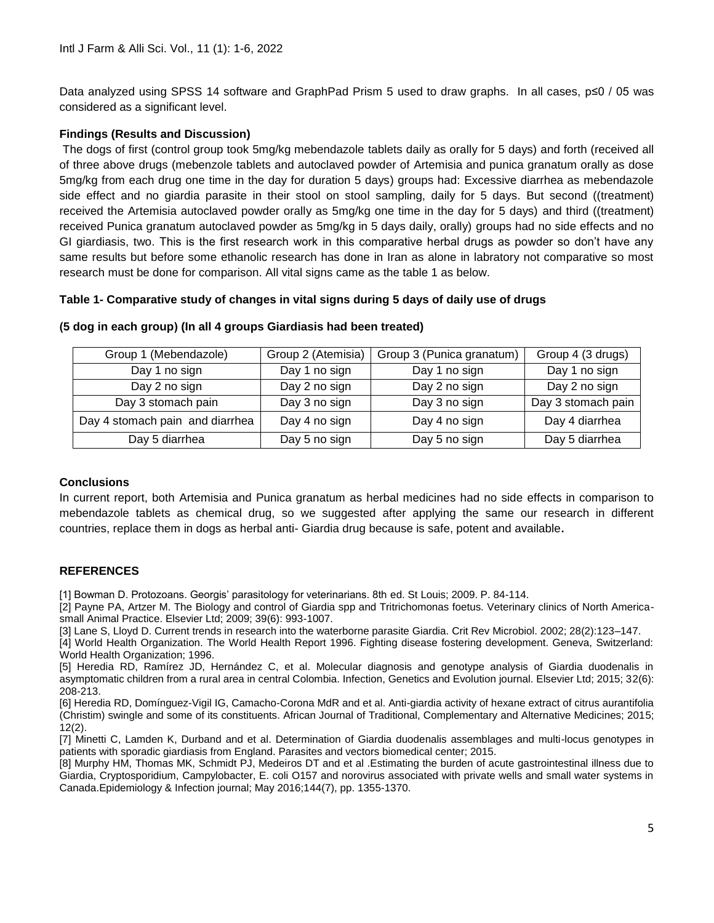Data analyzed using SPSS 14 software and GraphPad Prism 5 used to draw graphs. In all cases, p≤0 / 05 was considered as a significant level.

## **Findings (Results and Discussion)**

The dogs of first (control group took 5mg/kg mebendazole tablets daily as orally for 5 days) and forth (received all of three above drugs (mebenzole tablets and autoclaved powder of Artemisia and punica granatum orally as dose 5mg/kg from each drug one time in the day for duration 5 days) groups had: Excessive diarrhea as mebendazole side effect and no giardia parasite in their stool on stool sampling, daily for 5 days. But second ((treatment) received the Artemisia autoclaved powder orally as 5mg/kg one time in the day for 5 days) and third ((treatment) received Punica granatum autoclaved powder as 5mg/kg in 5 days daily, orally) groups had no side effects and no GI giardiasis, two. This is the first research work in this comparative herbal drugs as powder so don't have any same results but before some ethanolic research has done in Iran as alone in labratory not comparative so most research must be done for comparison. All vital signs came as the table 1 as below.

## **Table 1- Comparative study of changes in vital signs during 5 days of daily use of drugs**

| Group 1 (Mebendazole)           | Group 2 (Atemisia) | Group 3 (Punica granatum) | Group 4 (3 drugs)  |
|---------------------------------|--------------------|---------------------------|--------------------|
| Day 1 no sign                   | Day 1 no sign      | Day 1 no sign             | Day 1 no sign      |
| Day 2 no sign                   | Day 2 no sign      | Day 2 no sign             | Day 2 no sign      |
| Day 3 stomach pain              | Day 3 no sign      | Day 3 no sign             | Day 3 stomach pain |
| Day 4 stomach pain and diarrhea | Day 4 no sign      | Day 4 no sign             | Day 4 diarrhea     |
| Day 5 diarrhea                  | Day 5 no sign      | Day 5 no sign             | Day 5 diarrhea     |

### **)5 dog in each group( (In all 4 groups Giardiasis had been treated)**

## **Conclusions**

In current report, both Artemisia and Punica granatum as herbal medicines had no side effects in comparison to mebendazole tablets as chemical drug, so we suggested after applying the same our research in different countries, replace them in dogs as herbal anti- Giardia drug because is safe, potent and available**.**

## **REFERENCES**

[1] Bowman D. Protozoans. Georgis' parasitology for veterinarians. 8th ed. St Louis; 2009. P. 84-114.

[2] Payne PA, Artzer M. The Biology and control of Giardia spp and Tritrichomonas foetus. Veterinary clinics of North Americasmall Animal Practice. Elsevier Ltd; 2009; 39(6): 993-1007.

[3] Lane S, Lloyd D. Current trends in research into the waterborne parasite Giardia. Crit Rev Microbiol. 2002; 28(2):123–147.

[4] World Health Organization. The World Health Report 1996. Fighting disease fostering development. Geneva, Switzerland: World Health Organization; 1996.

[5] Heredia RD, Ramírez JD, Hernández C, et al. Molecular diagnosis and genotype analysis of Giardia duodenalis in asymptomatic children from a rural area in central Colombia. Infection, Genetics and Evolution journal. Elsevier Ltd; 2015; 32(6): 208-213.

[6] Heredia RD, Domínguez-Vigil IG, Camacho-Corona MdR and et al. Anti-giardia activity of hexane extract of citrus aurantifolia (Christim) swingle and some of its constituents. African Journal of Traditional, Complementary and Alternative Medicines; 2015; 12(2).

[7] Minetti C, Lamden K, Durband and et al. Determination of Giardia duodenalis assemblages and multi-locus genotypes in patients with sporadic giardiasis from England. Parasites and vectors biomedical center; 2015.

[8] Murphy HM, Thomas MK, Schmidt PJ, Medeiros DT and et al .Estimating the burden of acute gastrointestinal illness due to Giardia, Cryptosporidium, Campylobacter, E. coli O157 and norovirus associated with private wells and small water systems in Canada.Epidemiology & Infection journal; May 2016;144(7), pp. 1355-1370.